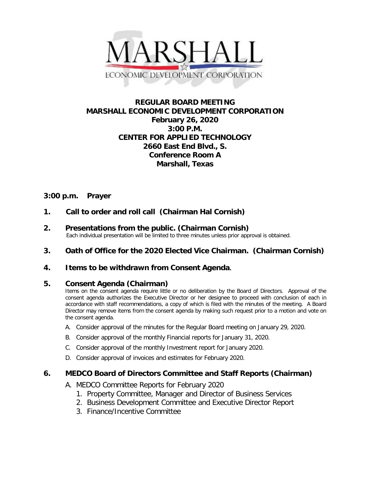

# **REGULAR BOARD MEETING MARSHALL ECONOMIC DEVELOPMENT CORPORATION February 26, 2020 3:00 P.M. CENTER FOR APPLIED TECHNOLOGY 2660 East End Blvd., S. Conference Room A Marshall, Texas**

# **3:00 p.m. Prayer**

- **1. Call to order and roll call (Chairman Hal Cornish)**
- **2. Presentations from the public. (Chairman Cornish)**<br>Each individual presentation will be limited to three minutes unless prior approval is obtained.
- **3. Oath of Office for the 2020 Elected Vice Chairman. (Chairman Cornish)**

# **4. Items to be withdrawn from Consent Agenda.**

## **5. Consent Agenda (Chairman)**

Items on the consent agenda require little or no deliberation by the Board of Directors. Approval of the consent agenda authorizes the Executive Director or her designee to proceed with conclusion of each in accordance with staff recommendations, a copy of which is filed with the minutes of the meeting. A Board Director may remove items from the consent agenda by making such request prior to a motion and vote on the consent agenda.

- A. Consider approval of the minutes for the Regular Board meeting on January 29, 2020.
- B. Consider approval of the monthly Financial reports for January 31, 2020.
- C. Consider approval of the monthly Investment report for January 2020.
- D. Consider approval of invoices and estimates for February 2020.

## **6. MEDCO Board of Directors Committee and Staff Reports (Chairman)**

- A. MEDCO Committee Reports for February 2020
	- 1. Property Committee, Manager and Director of Business Services
	- 2. Business Development Committee and Executive Director Report
	- 3. Finance/Incentive Committee